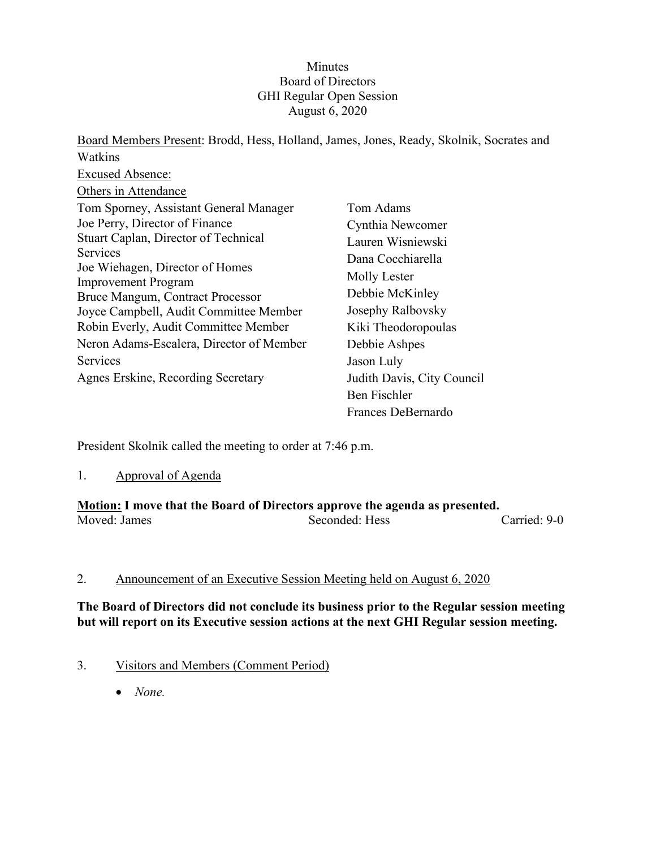## Minutes Board of Directors GHI Regular Open Session August 6, 2020

Board Members Present: Brodd, Hess, Holland, James, Jones, Ready, Skolnik, Socrates and Watkins Excused Absence: Others in Attendance Tom Sporney, Assistant General Manager Joe Perry, Director of Finance Stuart Caplan, Director of Technical **Services** Joe Wiehagen, Director of Homes Improvement Program Bruce Mangum, Contract Processor Joyce Campbell, Audit Committee Member Robin Everly, Audit Committee Member Neron Adams-Escalera, Director of Member Services Agnes Erskine, Recording Secretary Tom Adams Cynthia Newcomer Lauren Wisniewski Dana Cocchiarella Molly Lester Debbie McKinley Josephy Ralbovsky Kiki Theodoropoulas Debbie Ashpes Jason Luly Judith Davis, City Council Ben Fischler Frances DeBernardo

President Skolnik called the meeting to order at 7:46 p.m.

### 1. Approval of Agenda

#### **Motion: I move that the Board of Directors approve the agenda as presented.** Seconded: Hess Carried: 9-0

### 2. Announcement of an Executive Session Meeting held on August 6, 2020

## **The Board of Directors did not conclude its business prior to the Regular session meeting but will report on its Executive session actions at the next GHI Regular session meeting.**

- 3. Visitors and Members (Comment Period)
	- *None.*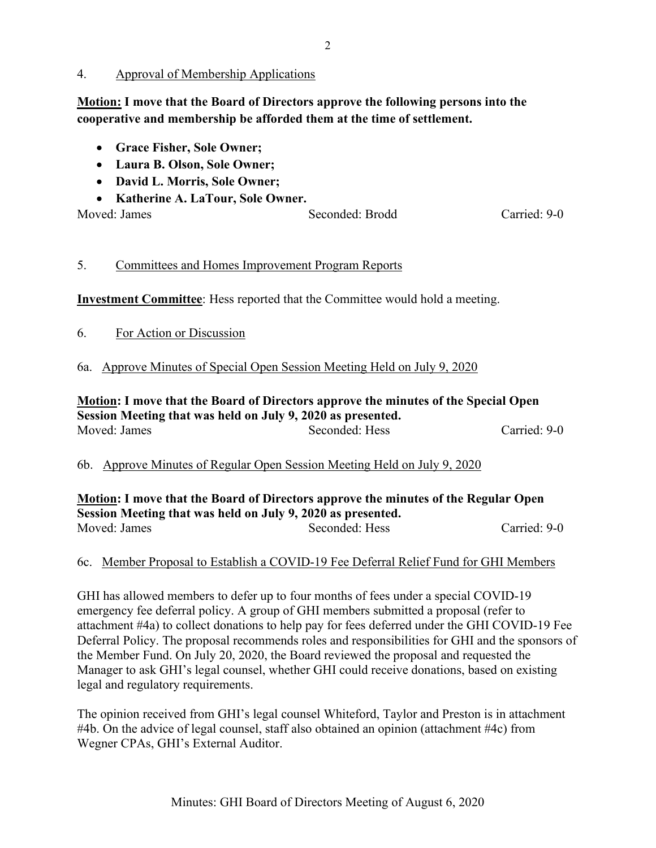#### 4. Approval of Membership Applications

**Motion: I move that the Board of Directors approve the following persons into the cooperative and membership be afforded them at the time of settlement.**

- **Grace Fisher, Sole Owner;**
- **Laura B. Olson, Sole Owner;**
- **David L. Morris, Sole Owner;**
- **Katherine A. LaTour, Sole Owner.**

| Moved: James | Seconded: Brodd | Carried: 9-0 |
|--------------|-----------------|--------------|
|              |                 |              |

## 5. Committees and Homes Improvement Program Reports

**Investment Committee**: Hess reported that the Committee would hold a meeting.

6. For Action or Discussion

## 6a. Approve Minutes of Special Open Session Meeting Held on July 9, 2020

### **Motion: I move that the Board of Directors approve the minutes of the Special Open Session Meeting that was held on July 9, 2020 as presented.** Moved: James Seconded: Hess Carried: 9-0

### 6b. Approve Minutes of Regular Open Session Meeting Held on July 9, 2020

**Motion: I move that the Board of Directors approve the minutes of the Regular Open Session Meeting that was held on July 9, 2020 as presented.** Moved: James Seconded: Hess Carried: 9-0

### 6c. Member Proposal to Establish a COVID-19 Fee Deferral Relief Fund for GHI Members

GHI has allowed members to defer up to four months of fees under a special COVID-19 emergency fee deferral policy. A group of GHI members submitted a proposal (refer to attachment #4a) to collect donations to help pay for fees deferred under the GHI COVID-19 Fee Deferral Policy. The proposal recommends roles and responsibilities for GHI and the sponsors of the Member Fund. On July 20, 2020, the Board reviewed the proposal and requested the Manager to ask GHI's legal counsel, whether GHI could receive donations, based on existing legal and regulatory requirements.

The opinion received from GHI's legal counsel Whiteford, Taylor and Preston is in attachment #4b. On the advice of legal counsel, staff also obtained an opinion (attachment #4c) from Wegner CPAs, GHI's External Auditor.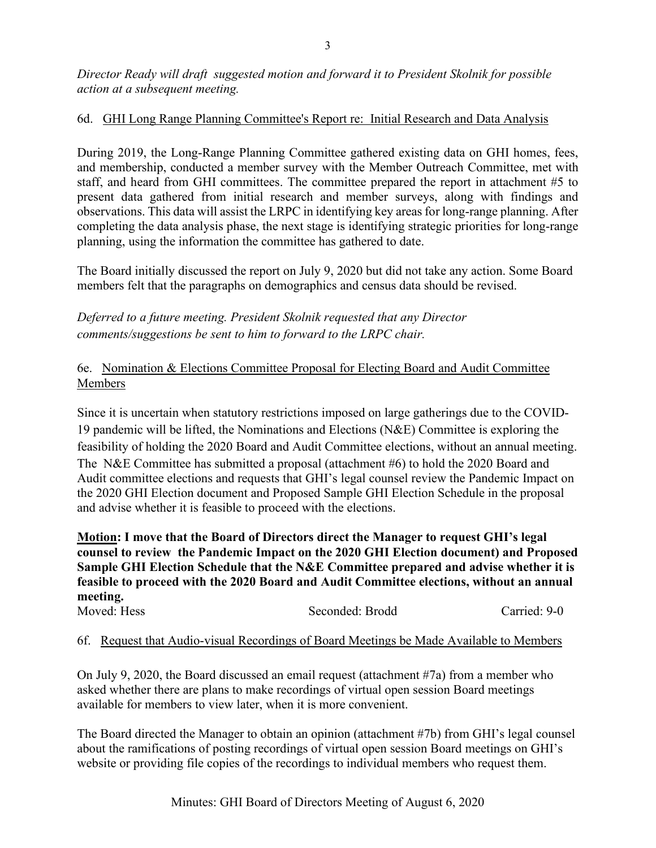## 6d. GHI Long Range Planning Committee's Report re: Initial Research and Data Analysis

During 2019, the Long-Range Planning Committee gathered existing data on GHI homes, fees, and membership, conducted a member survey with the Member Outreach Committee, met with staff, and heard from GHI committees. The committee prepared the report in attachment #5 to present data gathered from initial research and member surveys, along with findings and observations. This data will assist the LRPC in identifying key areas for long-range planning. After completing the data analysis phase, the next stage is identifying strategic priorities for long-range planning, using the information the committee has gathered to date.

The Board initially discussed the report on July 9, 2020 but did not take any action. Some Board members felt that the paragraphs on demographics and census data should be revised.

*Deferred to a future meeting. President Skolnik requested that any Director comments/suggestions be sent to him to forward to the LRPC chair.*

## 6e. Nomination & Elections Committee Proposal for Electing Board and Audit Committee Members

Since it is uncertain when statutory restrictions imposed on large gatherings due to the COVID-19 pandemic will be lifted, the Nominations and Elections (N&E) Committee is exploring the feasibility of holding the 2020 Board and Audit Committee elections, without an annual meeting. The N&E Committee has submitted a proposal (attachment #6) to hold the 2020 Board and Audit committee elections and requests that GHI's legal counsel review the Pandemic Impact on the 2020 GHI Election document and Proposed Sample GHI Election Schedule in the proposal and advise whether it is feasible to proceed with the elections.

**Motion: I move that the Board of Directors direct the Manager to request GHI's legal counsel to review the Pandemic Impact on the 2020 GHI Election document) and Proposed Sample GHI Election Schedule that the N&E Committee prepared and advise whether it is feasible to proceed with the 2020 Board and Audit Committee elections, without an annual meeting.**

| Moved: Hess | Seconded: Brodd | Carried: 9-0 |
|-------------|-----------------|--------------|
|             |                 |              |

## 6f. Request that Audio-visual Recordings of Board Meetings be Made Available to Members

On July 9, 2020, the Board discussed an email request (attachment #7a) from a member who asked whether there are plans to make recordings of virtual open session Board meetings available for members to view later, when it is more convenient.

The Board directed the Manager to obtain an opinion (attachment #7b) from GHI's legal counsel about the ramifications of posting recordings of virtual open session Board meetings on GHI's website or providing file copies of the recordings to individual members who request them.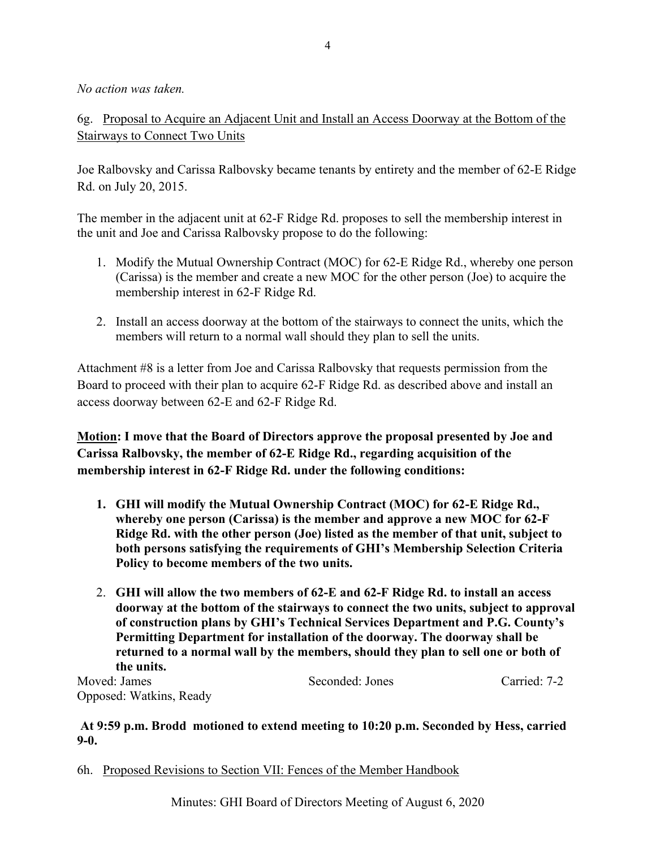*No action was taken.*

6g. Proposal to Acquire an Adjacent Unit and Install an Access Doorway at the Bottom of the Stairways to Connect Two Units

Joe Ralbovsky and Carissa Ralbovsky became tenants by entirety and the member of 62-E Ridge Rd. on July 20, 2015.

The member in the adjacent unit at 62-F Ridge Rd. proposes to sell the membership interest in the unit and Joe and Carissa Ralbovsky propose to do the following:

- 1. Modify the Mutual Ownership Contract (MOC) for 62-E Ridge Rd., whereby one person (Carissa) is the member and create a new MOC for the other person (Joe) to acquire the membership interest in 62-F Ridge Rd.
- 2. Install an access doorway at the bottom of the stairways to connect the units, which the members will return to a normal wall should they plan to sell the units.

Attachment #8 is a letter from Joe and Carissa Ralbovsky that requests permission from the Board to proceed with their plan to acquire 62-F Ridge Rd. as described above and install an access doorway between 62-E and 62-F Ridge Rd.

**Motion: I move that the Board of Directors approve the proposal presented by Joe and Carissa Ralbovsky, the member of 62-E Ridge Rd., regarding acquisition of the membership interest in 62-F Ridge Rd. under the following conditions:**

- **1. GHI will modify the Mutual Ownership Contract (MOC) for 62-E Ridge Rd., whereby one person (Carissa) is the member and approve a new MOC for 62-F Ridge Rd. with the other person (Joe) listed as the member of that unit, subject to both persons satisfying the requirements of GHI's Membership Selection Criteria Policy to become members of the two units.**
- 2. **GHI will allow the two members of 62-E and 62-F Ridge Rd. to install an access doorway at the bottom of the stairways to connect the two units, subject to approval of construction plans by GHI's Technical Services Department and P.G. County's Permitting Department for installation of the doorway. The doorway shall be returned to a normal wall by the members, should they plan to sell one or both of the units.**

Moved: James Seconded: Jones Carried: 7-2 Opposed: Watkins, Ready

**At 9:59 p.m. Brodd motioned to extend meeting to 10:20 p.m. Seconded by Hess, carried 9-0.**

6h. Proposed Revisions to Section VII: Fences of the Member Handbook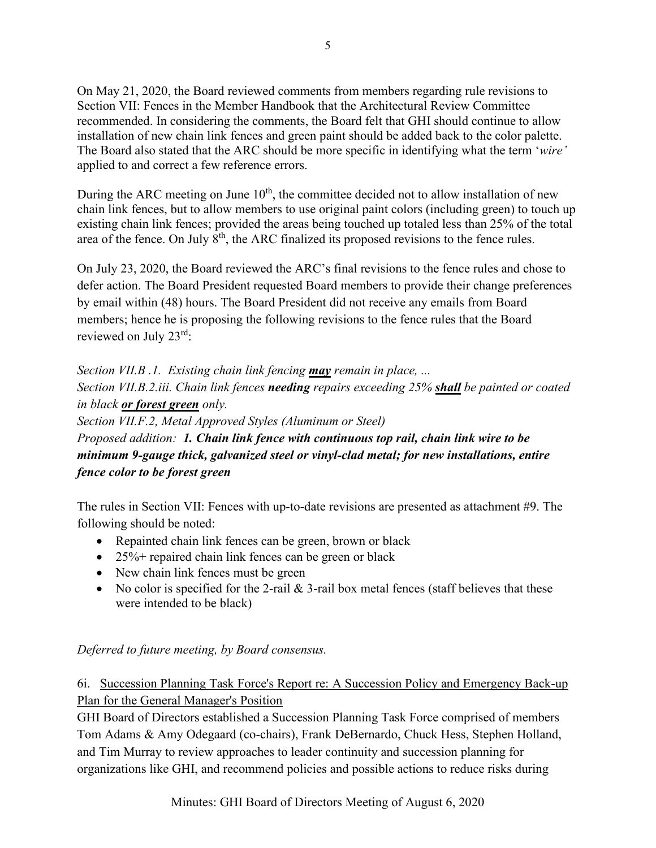On May 21, 2020, the Board reviewed comments from members regarding rule revisions to Section VII: Fences in the Member Handbook that the Architectural Review Committee recommended. In considering the comments, the Board felt that GHI should continue to allow installation of new chain link fences and green paint should be added back to the color palette. The Board also stated that the ARC should be more specific in identifying what the term '*wire'* applied to and correct a few reference errors.

During the ARC meeting on June  $10<sup>th</sup>$ , the committee decided not to allow installation of new chain link fences, but to allow members to use original paint colors (including green) to touch up existing chain link fences; provided the areas being touched up totaled less than 25% of the total area of the fence. On July 8<sup>th</sup>, the ARC finalized its proposed revisions to the fence rules.

On July 23, 2020, the Board reviewed the ARC's final revisions to the fence rules and chose to defer action. The Board President requested Board members to provide their change preferences by email within (48) hours. The Board President did not receive any emails from Board members; hence he is proposing the following revisions to the fence rules that the Board reviewed on July 23rd:

*Section VII.B .1. Existing chain link fencing may remain in place, ... Section VII.B.2.iii. Chain link fences needing repairs exceeding 25% shall be painted or coated in black or forest green only. Section VII.F.2, Metal Approved Styles (Aluminum or Steel)*

*Proposed addition: 1. Chain link fence with continuous top rail, chain link wire to be minimum 9-gauge thick, galvanized steel or vinyl-clad metal; for new installations, entire fence color to be forest green*

The rules in Section VII: Fences with up-to-date revisions are presented as attachment #9. The following should be noted:

- Repainted chain link fences can be green, brown or black
- 25%+ repaired chain link fences can be green or black
- New chain link fences must be green
- No color is specified for the 2-rail  $\&$  3-rail box metal fences (staff believes that these were intended to be black)

*Deferred to future meeting, by Board consensus.*

6i. Succession Planning Task Force's Report re: A Succession Policy and Emergency Back-up Plan for the General Manager's Position

GHI Board of Directors established a Succession Planning Task Force comprised of members Tom Adams & Amy Odegaard (co-chairs), Frank DeBernardo, Chuck Hess, Stephen Holland, and Tim Murray to review approaches to leader continuity and succession planning for organizations like GHI, and recommend policies and possible actions to reduce risks during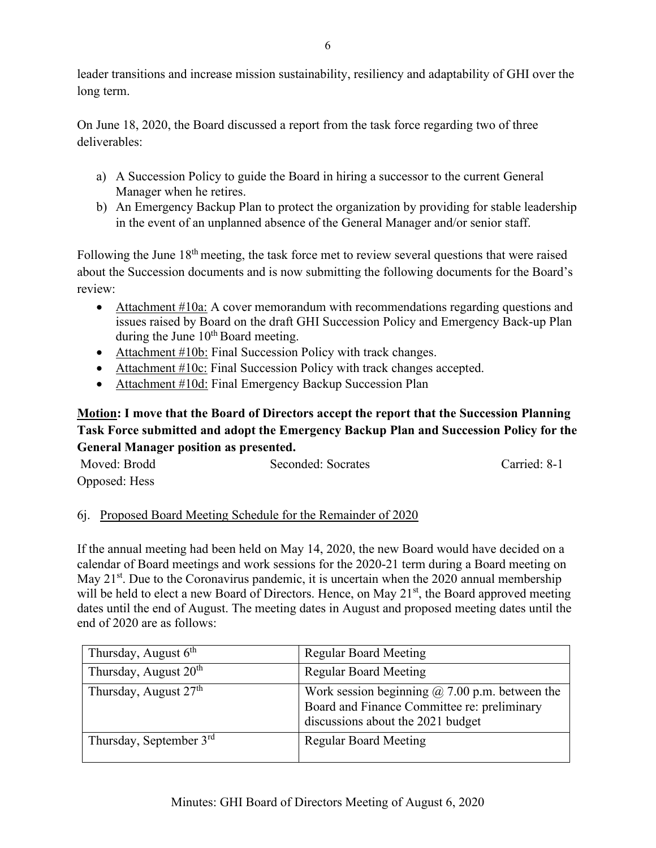leader transitions and increase mission sustainability, resiliency and adaptability of GHI over the long term.

On June 18, 2020, the Board discussed a report from the task force regarding two of three deliverables:

- a) A Succession Policy to guide the Board in hiring a successor to the current General Manager when he retires.
- b) An Emergency Backup Plan to protect the organization by providing for stable leadership in the event of an unplanned absence of the General Manager and/or senior staff.

Following the June 18<sup>th</sup> meeting, the task force met to review several questions that were raised about the Succession documents and is now submitting the following documents for the Board's review:

- Attachment #10a: A cover memorandum with recommendations regarding questions and issues raised by Board on the draft GHI Succession Policy and Emergency Back-up Plan during the June  $10^{th}$  Board meeting.
- Attachment #10b: Final Succession Policy with track changes.
- Attachment #10c: Final Succession Policy with track changes accepted.
- Attachment #10d: Final Emergency Backup Succession Plan

# **Motion: I move that the Board of Directors accept the report that the Succession Planning Task Force submitted and adopt the Emergency Backup Plan and Succession Policy for the General Manager position as presented.**

| Moved: Brodd  |  | Seconded: Socrates | Carried: 8-1 |
|---------------|--|--------------------|--------------|
| Opposed: Hess |  |                    |              |

# 6j. Proposed Board Meeting Schedule for the Remainder of 2020

If the annual meeting had been held on May 14, 2020, the new Board would have decided on a calendar of Board meetings and work sessions for the 2020-21 term during a Board meeting on May  $21<sup>st</sup>$ . Due to the Coronavirus pandemic, it is uncertain when the 2020 annual membership will be held to elect a new Board of Directors. Hence, on May 21<sup>st</sup>, the Board approved meeting dates until the end of August. The meeting dates in August and proposed meeting dates until the end of 2020 are as follows:

| Thursday, August $6th$            | <b>Regular Board Meeting</b>                                                                                                              |
|-----------------------------------|-------------------------------------------------------------------------------------------------------------------------------------------|
| Thursday, August 20 <sup>th</sup> | <b>Regular Board Meeting</b>                                                                                                              |
| Thursday, August 27 <sup>th</sup> | Work session beginning $\omega$ 7.00 p.m. between the<br>Board and Finance Committee re: preliminary<br>discussions about the 2021 budget |
| Thursday, September $3rd$         | <b>Regular Board Meeting</b>                                                                                                              |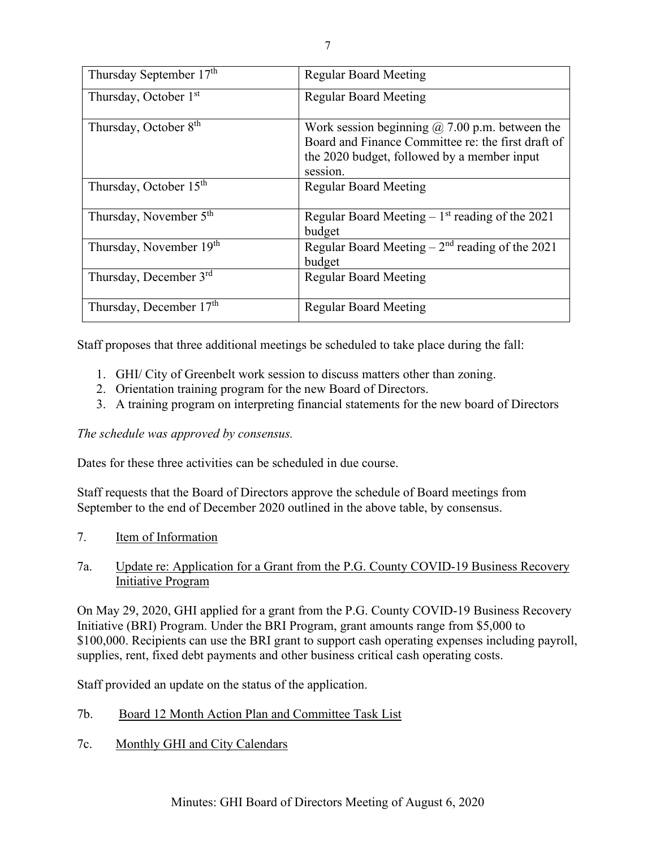| Thursday September 17 <sup>th</sup> | <b>Regular Board Meeting</b>                                                                                                                                           |
|-------------------------------------|------------------------------------------------------------------------------------------------------------------------------------------------------------------------|
| Thursday, October 1 <sup>st</sup>   | <b>Regular Board Meeting</b>                                                                                                                                           |
| Thursday, October 8 <sup>th</sup>   | Work session beginning $\omega$ 7.00 p.m. between the<br>Board and Finance Committee re: the first draft of<br>the 2020 budget, followed by a member input<br>session. |
| Thursday, October 15 <sup>th</sup>  | <b>Regular Board Meeting</b>                                                                                                                                           |
| Thursday, November 5 <sup>th</sup>  | Regular Board Meeting $-1st$ reading of the 2021<br>budget                                                                                                             |
| Thursday, November 19th             | Regular Board Meeting $-2nd$ reading of the 2021<br>budget                                                                                                             |
| Thursday, December 3rd              | <b>Regular Board Meeting</b>                                                                                                                                           |
| Thursday, December 17th             | <b>Regular Board Meeting</b>                                                                                                                                           |

Staff proposes that three additional meetings be scheduled to take place during the fall:

- 1. GHI/ City of Greenbelt work session to discuss matters other than zoning.
- 2. Orientation training program for the new Board of Directors.
- 3. A training program on interpreting financial statements for the new board of Directors

### *The schedule was approved by consensus.*

Dates for these three activities can be scheduled in due course.

Staff requests that the Board of Directors approve the schedule of Board meetings from September to the end of December 2020 outlined in the above table, by consensus.

7. Item of Information

### 7a. Update re: Application for a Grant from the P.G. County COVID-19 Business Recovery Initiative Program

On May 29, 2020, GHI applied for a grant from the P.G. County COVID-19 Business Recovery Initiative (BRI) Program. Under the BRI Program, grant amounts range from \$5,000 to \$100,000. Recipients can use the BRI grant to support cash operating expenses including payroll, supplies, rent, fixed debt payments and other business critical cash operating costs.

Staff provided an update on the status of the application.

- 7b. Board 12 Month Action Plan and Committee Task List
- 7c. Monthly GHI and City Calendars